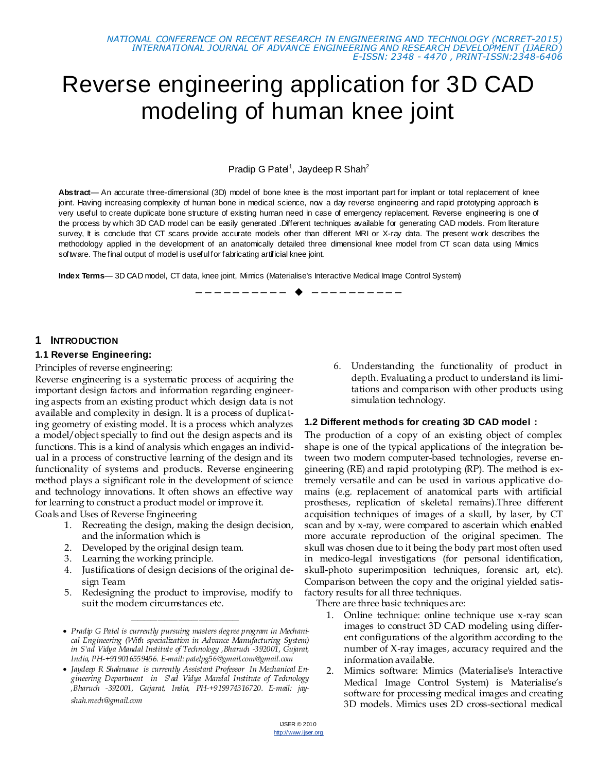# Reverse engineering application for 3D CAD modeling of human knee joint

Pradip G Patel<sup>1</sup>, Jaydeep R Shah<sup>2</sup>

**Abstract**— An accurate three-dimensional (3D) model of bone knee is the most important part for implant or total replacement of knee joint. Having increasing complexity of human bone in medical science, now a day reverse engineering and rapid prototyping approach is very useful to create duplicate bone structure of existing human need in case of emergency replacement. Reverse engineering is one of the process by which 3D CAD model can be easily generated .Different techniques available for generating CAD models. From literature survey, It is conclude that CT scans provide accurate models other than different MRI or X-ray data. The present work describes the methodology applied in the development of an anatomically detailed three dimensional knee model from CT scan data using Mimics software. The final output of model is useful for fabricating artificial knee joint.

———*—————*—◆ —————————

**Index Terms**— 3D CAD model, CT data, knee joint, Mimics (Materialise's Interactive Medical Image Control System)

#### **1 INTRODUCTION**

#### **1.1 Reverse Engineering:**

Principles of reverse engineering:

Reverse engineering is a systematic process of acquiring the important design factors and information regarding engineering aspects from an existing product which design data is not available and complexity in design. It is a process of duplicating geometry of existing model. It is a process which analyzes a model/object specially to find out the design aspects and its functions. This is a kind of analysis which engages an individual in a process of constructive learning of the design and its functionality of systems and products. Reverse engineering method plays a significant role in the development of science and technology innovations. It often shows an effective way for learning to construct a product model or improve it.

Goals and Uses of Reverse Engineering

- 1. Recreating the design, making the design decision, and the information which is
- 2. Developed by the original design team.
- 3. Learning the working principle.
- 4. Justifications of design decisions of the original design Team
- 5. Redesigning the product to improvise, modify to suit the modern circumstances etc.

————————————————

 *Jaydeep R Shahname is currently Assistant Professor In Mechanical Engineering Department in S'ad Vidya Mandal Institute of Technology ,Bharuch -392001, Gujarat, India, PH-+919974316720. E-mail: jayshah.mech@gmail.com*

6. Understanding the functionality of product in depth. Evaluating a product to understand its limitations and comparison with other products using simulation technology.

#### **1.2 Different methods for creating 3D CAD model :**

The production of a copy of an existing object of complex shape is one of the typical applications of the integration between two modern computer-based technologies, reverse engineering (RE) and rapid prototyping (RP). The method is extremely versatile and can be used in various applicative domains (e.g. replacement of anatomical parts with artificial prostheses, replication of skeletal remains).Three different acquisition techniques of images of a skull, by laser, by CT scan and by x-ray, were compared to ascertain which enabled more accurate reproduction of the original specimen. The skull was chosen due to it being the body part most often used in medico-legal investigations (for personal identification, skull-photo superimposition techniques, forensic art, etc). Comparison between the copy and the original yielded satisfactory results for all three techniques.

There are three basic techniques are:

- 1. Online technique: online technique use x-ray scan images to construct 3D CAD modeling using different configurations of the algorithm according to the number of X-ray images, accuracy required and the information available.
- 2. Mimics software: Mimics (Materialise's Interactive Medical Image Control System) is Materialise's software for processing medical images and creating 3D models. Mimics uses 2D cross-sectional medical

*Pradip G Patel is currently pursuing masters degree program in Mechanical Engineering (With specialization in Advance Manufacturing System) in S'ad Vidya Mandal Institute of Technology ,Bharuch -392001, Gujarat, India, PH-+919016559456. E-mail: patelpg56@gmail.com@gmail.com*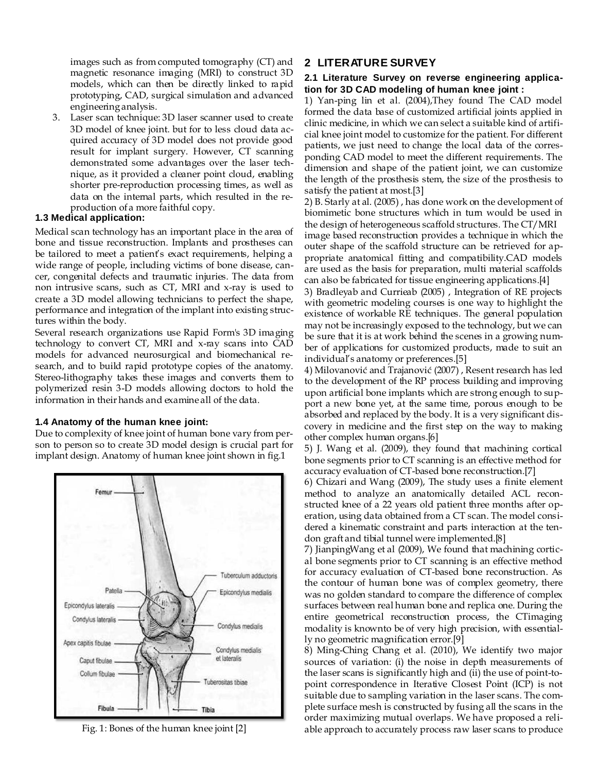images such as from computed tomography (CT) and magnetic resonance imaging (MRI) to construct 3D models, which can then be directly linked to rapid prototyping, CAD, surgical simulation and advanced engineering analysis.

3. Laser scan technique: 3D laser scanner used to create 3D model of knee joint. but for to less cloud data acquired accuracy of 3D model does not provide good result for implant surgery. However, CT scanning demonstrated some advantages over the laser technique, as it provided a cleaner point cloud, enabling shorter pre-reproduction processing times, as well as data on the internal parts, which resulted in the reproduction of a more faithful copy.

## **1.3 Medical application:**

Medical scan technology has an important place in the area of bone and tissue reconstruction. Implants and prostheses can be tailored to meet a patient's exact requirements, helping a wide range of people, including victims of bone disease, cancer, congenital defects and traumatic injuries. The data from non intrusive scans, such as CT, MRI and x-ray is used to create a 3D model allowing technicians to perfect the shape, performance and integration of the implant into existing structures within the body.

Several research organizations use Rapid Form's 3D imaging technology to convert CT, MRI and x-ray scans into CAD models for advanced neurosurgical and biomechanical research, and to build rapid prototype copies of the anatomy. Stereo-lithography takes these images and converts them to polymerized resin 3-D models allowing doctors to hold the information in their hands and examine all of the data.

## **1.4 Anatomy of the human knee joint:**

Due to complexity of knee joint of human bone vary from person to person so to create 3D model design is crucial part for implant design. Anatomy of human knee joint shown in fig.1



Fig. 1: Bones of the human knee joint [2]

# **2 LITERATURE SURVEY**

#### **2.1 Literature Survey on reverse engineering application for 3D CAD modeling of human knee joint :**

1) Yan-ping lin et al. (2004),They found The CAD model formed the data base of customized artificial joints applied in clinic medicine, in which we can select a suitable kind of artificial knee joint model to customize for the patient. For different patients, we just need to change the local data of the corresponding CAD model to meet the different requirements. The dimension and shape of the patient joint, we can customize the length of the prosthesis stem, the size of the prosthesis to satisfy the patient at most.[3]

2) B. Starly at al. (2005) , has done work on the development of biomimetic bone structures which in turn would be used in the design of heterogeneous scaffold structures. The CT/MRI image based reconstruction provides a technique in which the outer shape of the scaffold structure can be retrieved for appropriate anatomical fitting and compatibility.CAD models are used as the basis for preparation, multi material scaffolds can also be fabricated for tissue engineering applications.[4]

3) Bradleyab and Currieab (2005) , Integration of RE projects with geometric modeling courses is one way to highlight the existence of workable RE techniques. The general population may not be increasingly exposed to the technology, but we can be sure that it is at work behind the scenes in a growing number of applications for customized products, made to suit an individual's anatomy or preferences.[5]

4) Milovanović and Trajanović (2007) , Resent research has led to the development of the RP process building and improving upon artificial bone implants which are strong enough to support a new bone yet, at the same time, porous enough to be absorbed and replaced by the body. It is a very significant discovery in medicine and the first step on the way to making other complex human organs.[6]

5) J. Wang et al. (2009), they found that machining cortical bone segments prior to CT scanning is an effective method for accuracy evaluation of CT-based bone reconstruction.[7]

6) Chizari and Wang (2009), The study uses a finite element method to analyze an anatomically detailed ACL reconstructed knee of a 22 years old patient three months after operation, using data obtained from a CT scan. The model considered a kinematic constraint and parts interaction at the tendon graft and tibial tunnel were implemented.[8]

7) JianpingWang et al (2009), We found that machining cortical bone segments prior to CT scanning is an effective method for accuracy evaluation of CT-based bone reconstruction. As the contour of human bone was of complex geometry, there was no golden standard to compare the difference of complex surfaces between real human bone and replica one. During the entire geometrical reconstruction process, the CTimaging modality is knownto be of very high precision, with essentially no geometric magnification error.[9]

8) Ming-Ching Chang et al. (2010), We identify two major sources of variation: (i) the noise in depth measurements of the laser scans is significantly high and (ii) the use of point-topoint correspondence in Iterative Closest Point (ICP) is not suitable due to sampling variation in the laser scans. The complete surface mesh is constructed by fusing all the scans in the order maximizing mutual overlaps. We have proposed a reliable approach to accurately process raw laser scans to produce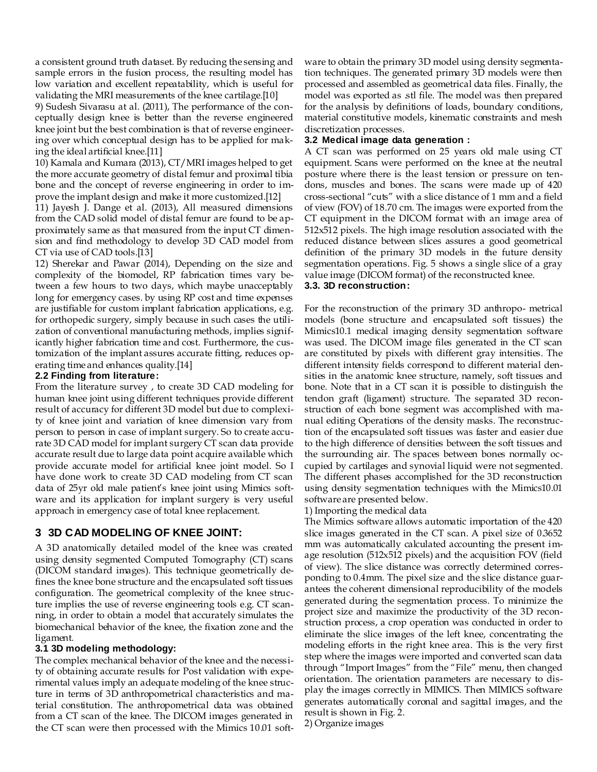a consistent ground truth dataset. By reducing the sensing and sample errors in the fusion process, the resulting model has low variation and excellent repeatability, which is useful for validating the MRI measurements of the knee cartilage.[10]

9) Sudesh Sivarasu at al. (2011), The performance of the conceptually design knee is better than the reverse engineered knee joint but the best combination is that of reverse engineering over which conceptual design has to be applied for making the ideal artificial knee.[11]

10) Kamala and Kumara (2013), CT/MRI images helped to get the more accurate geometry of distal femur and proximal tibia bone and the concept of reverse engineering in order to improve the implant design and make it more customized.[12]

11) Jayesh J. Dange et al. (2013), All measured dimensions from the CAD solid model of distal femur are found to be approximately same as that measured from the input CT dimension and find methodology to develop 3D CAD model from CT via use of CAD tools.[13]

12) Sherekar and Pawar (2014), Depending on the size and complexity of the biomodel, RP fabrication times vary between a few hours to two days, which maybe unacceptably long for emergency cases. by using RP cost and time expenses are justifiable for custom implant fabrication applications, e.g. for orthopedic surgery, simply because in such cases the utilization of conventional manufacturing methods, implies significantly higher fabrication time and cost. Furthermore, the customization of the implant assures accurate fitting, reduces operating time and enhances quality.[14]

#### **2.2 Finding from literature:**

From the literature survey , to create 3D CAD modeling for human knee joint using different techniques provide different result of accuracy for different 3D model but due to complexity of knee joint and variation of knee dimension vary from person to person in case of implant surgery. So to create accurate 3D CAD model for implant surgery CT scan data provide accurate result due to large data point acquire available which provide accurate model for artificial knee joint model. So I have done work to create 3D CAD modeling from CT scan data of 25yr old male patient's knee joint using Mimics software and its application for implant surgery is very useful approach in emergency case of total knee replacement.

# **3 3D CAD MODELING OF KNEE JOINT:**

A 3D anatomically detailed model of the knee was created using density segmented Computed Tomography (CT) scans (DICOM standard images). This technique geometrically defines the knee bone structure and the encapsulated soft tissues configuration. The geometrical complexity of the knee structure implies the use of reverse engineering tools e.g. CT scanning, in order to obtain a model that accurately simulates the biomechanical behavior of the knee, the fixation zone and the ligament.

## **3.1 3D modeling methodology:**

The complex mechanical behavior of the knee and the necessity of obtaining accurate results for Post validation with experimental values imply an adequate modeling of the knee structure in terms of 3D anthropometrical characteristics and material constitution. The anthropometrical data was obtained from a CT scan of the knee. The DICOM images generated in the CT scan were then processed with the Mimics 10.01 software to obtain the primary 3D model using density segmentation techniques. The generated primary 3D models were then processed and assembled as geometrical data files. Finally, the model was exported as .stl file. The model was then prepared for the analysis by definitions of loads, boundary conditions, material constitutive models, kinematic constraints and mesh discretization processes.

#### **3.2 Medical image data generation :**

A CT scan was performed on 25 years old male using CT equipment. Scans were performed on the knee at the neutral posture where there is the least tension or pressure on tendons, muscles and bones. The scans were made up of 420 cross-sectional "cuts" with a slice distance of 1 mm and a field of view (FOV) of 18.70 cm. The images were exported from the CT equipment in the DICOM format with an image area of 512x512 pixels. The high image resolution associated with the reduced distance between slices assures a good geometrical definition of the primary 3D models in the future density segmentation operations. Fig. 5 shows a single slice of a gray value image (DICOM format) of the reconstructed knee. **3.3. 3D reconstruction:**

For the reconstruction of the primary 3D anthropo- metrical models (bone structure and encapsulated soft tissues) the Mimics10.1 medical imaging density segmentation software was used. The DICOM image files generated in the CT scan are constituted by pixels with different gray intensities. The different intensity fields correspond to different material densities in the anatomic knee structure, namely, soft tissues and bone. Note that in a CT scan it is possible to distinguish the tendon graft (ligament) structure. The separated 3D reconstruction of each bone segment was accomplished with manual editing Operations of the density masks. The reconstruction of the encapsulated soft tissues was faster and easier due to the high difference of densities between the soft tissues and the surrounding air. The spaces between bones normally occupied by cartilages and synovial liquid were not segmented. The different phases accomplished for the 3D reconstruction using density segmentation techniques with the Mimics10.01 software are presented below.

1) Importing the medical data

The Mimics software allows automatic importation of the 420 slice images generated in the CT scan. A pixel size of 0.3652 mm was automatically calculated accounting the present image resolution (512x512 pixels) and the acquisition FOV (field of view). The slice distance was correctly determined corresponding to 0.4mm. The pixel size and the slice distance guarantees the coherent dimensional reproducibility of the models generated during the segmentation process. To minimize the project size and maximize the productivity of the 3D reconstruction process, a crop operation was conducted in order to eliminate the slice images of the left knee, concentrating the modeling efforts in the right knee area. This is the very first step where the images were imported and converted scan data through "Import Images" from the "File" menu, then changed orientation. The orientation parameters are necessary to display the images correctly in MIMICS. Then MIMICS software generates automatically coronal and sagittal images, and the result is shown in Fig. 2.

2) Organize images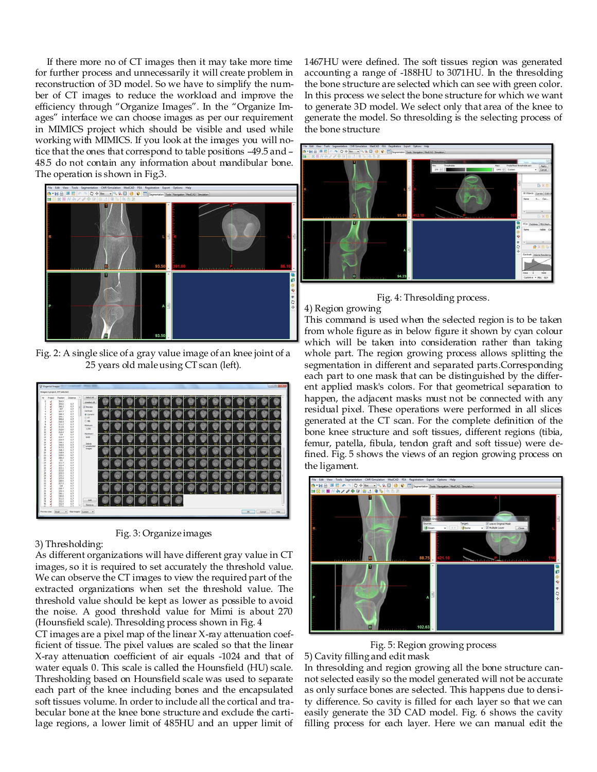If there more no of CT images then it may take more time for further process and unnecessarily it will create problem in reconstruction of 3D model. So we have to simplify the number of CT images to reduce the workload and improve the efficiency through "Organize Images". In the "Organize Images" interface we can choose images as per our requirement in MIMICS project which should be visible and used while working with MIMICS. If you look at the images you will notice that the ones that correspond to table positions –49.5 and – 48.5 do not contain any information about mandibular bone. The operation is shown in Fig.3.



Fig. 2: A single slice of a gray value image of an knee joint of a 25 years old male using CT scan (left).





3) Thresholding:

As different organizations will have different gray value in CT images, so it is required to set accurately the threshold value. We can observe the CT images to view the required part of the extracted organizations when set the threshold value. The threshold value should be kept as lower as possible to avoid the noise. A good threshold value for Mimi is about 270 (Hounsfield scale). Thresolding process shown in Fig. 4

CT images are a pixel map of the linear X-ray attenuation coefficient of tissue. The pixel values are scaled so that the linear X-ray attenuation coefficient of air equals -1024 and that of water equals 0. This scale is called the Hounsfield (HU) scale. Thresholding based on Hounsfield scale was used to separate each part of the knee including bones and the encapsulated soft tissues volume. In order to include all the cortical and trabecular bone at the knee bone structure and exclude the cartilage regions, a lower limit of 485HU and an upper limit of

1467HU were defined. The soft tissues region was generated accounting a range of -188HU to 3071HU. In the thresolding the bone structure are selected which can see with green color. In this process we select the bone structure for which we want to generate 3D model. We select only that area of the knee to generate the model. So thresolding is the selecting process of the bone structure



Fig. 4: Thresolding process.

#### 4) Region growing

This command is used when the selected region is to be taken from whole figure as in below figure it shown by cyan colour which will be taken into consideration rather than taking whole part. The region growing process allows splitting the segmentation in different and separated parts.Corresponding each part to one mask that can be distinguished by the different applied mask's colors. For that geometrical separation to happen, the adjacent masks must not be connected with any residual pixel. These operations were performed in all slices generated at the CT scan. For the complete definition of the bone knee structure and soft tissues, different regions (tibia, femur, patella, fibula, tendon graft and soft tissue) were defined. Fig. 5 shows the views of an region growing process on the ligament.



Fig. 5: Region growing process

5) Cavity filling and edit mask

In thresolding and region growing all the bone structure cannot selected easily so the model generated will not be accurate as only surface bones are selected. This happens due to density difference. So cavity is filled for each layer so that we can easily generate the 3D CAD model. Fig. 6 shows the cavity filling process for each layer. Here we can manual edit the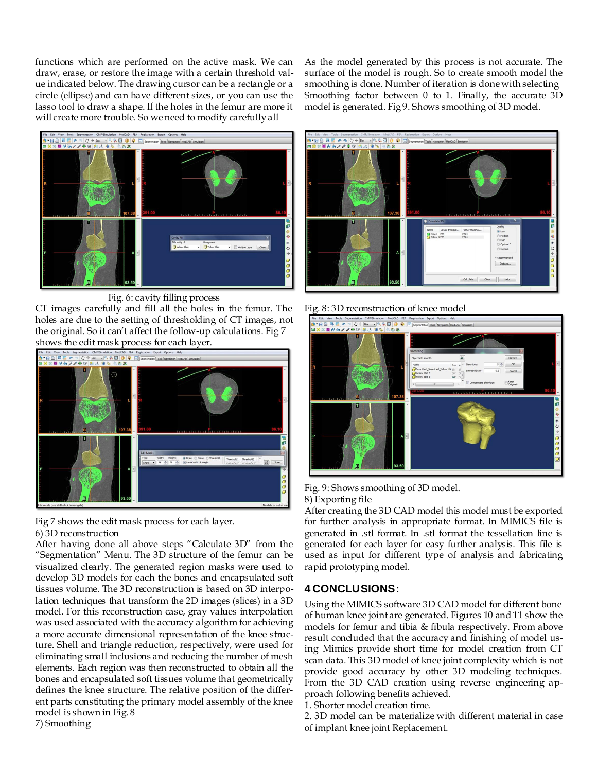functions which are performed on the active mask. We can draw, erase, or restore the image with a certain threshold value indicated below. The drawing cursor can be a rectangle or a circle (ellipse) and can have different sizes, or you can use the lasso tool to draw a shape. If the holes in the femur are more it will create more trouble. So we need to modify carefully all

As the model generated by this process is not accurate. The surface of the model is rough. So to create smooth model the smoothing is done. Number of iteration is done with selecting Smoothing factor between 0 to 1. Finally, the accurate 3D model is generated. Fig 9. Shows smoothing of 3D model.



Fig. 6: cavity filling process

CT images carefully and fill all the holes in the femur. The holes are due to the setting of thresholding of CT images, not the original. So it can't affect the follow-up calculations. Fig 7 shows the edit mask process for each layer.



Fig 7 shows the edit mask process for each layer.

#### 6) 3D reconstruction

After having done all above steps "Calculate 3D" from the ―Segmentation‖ Menu. The 3D structure of the femur can be visualized clearly. The generated region masks were used to develop 3D models for each the bones and encapsulated soft tissues volume. The 3D reconstruction is based on 3D interpolation techniques that transform the 2D images (slices) in a 3D model. For this reconstruction case, gray values interpolation was used associated with the accuracy algorithm for achieving a more accurate dimensional representation of the knee structure. Shell and triangle reduction, respectively, were used for eliminating small inclusions and reducing the number of mesh elements. Each region was then reconstructed to obtain all the bones and encapsulated soft tissues volume that geometrically defines the knee structure. The relative position of the different parts constituting the primary model assembly of the knee model is shown in Fig. 8 7) Smoothing



Fig. 8: 3D reconstruction of knee model



Fig. 9: Shows smoothing of 3D model.

8) Exporting file

After creating the 3D CAD model this model must be exported for further analysis in appropriate format. In MIMICS file is generated in .stl format. In .stl format the tessellation line is generated for each layer for easy further analysis. This file is used as input for different type of analysis and fabricating rapid prototyping model.

# **4 CONCLUSIONS:**

Using the MIMICS software 3D CAD model for different bone of human knee joint are generated. Figures 10 and 11 show the models for femur and tibia & fibula respectively. From above result concluded that the accuracy and finishing of model using Mimics provide short time for model creation from CT scan data. This 3D model of knee joint complexity which is not provide good accuracy by other 3D modeling techniques. From the 3D CAD creation using reverse engineering approach following benefits achieved.

1. Shorter model creation time.

2. 3D model can be materialize with different material in case of implant knee joint Replacement.